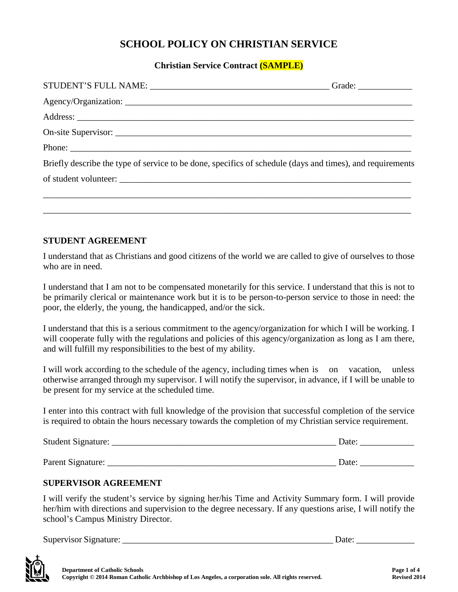# **SCHOOL POLICY ON CHRISTIAN SERVICE**

### **Christian Service Contract (SAMPLE)**

| Briefly describe the type of service to be done, specifics of schedule (days and times), and requirements |
|-----------------------------------------------------------------------------------------------------------|
|                                                                                                           |
|                                                                                                           |
|                                                                                                           |
|                                                                                                           |

#### **STUDENT AGREEMENT**

I understand that as Christians and good citizens of the world we are called to give of ourselves to those who are in need.

I understand that I am not to be compensated monetarily for this service. I understand that this is not to be primarily clerical or maintenance work but it is to be person-to-person service to those in need: the poor, the elderly, the young, the handicapped, and/or the sick.

I understand that this is a serious commitment to the agency/organization for which I will be working. I will cooperate fully with the regulations and policies of this agency/organization as long as I am there, and will fulfill my responsibilities to the best of my ability.

I will work according to the schedule of the agency, including times when is on vacation, unless otherwise arranged through my supervisor. I will notify the supervisor, in advance, if I will be unable to be present for my service at the scheduled time.

I enter into this contract with full knowledge of the provision that successful completion of the service is required to obtain the hours necessary towards the completion of my Christian service requirement.

| Student Signature: | Date: |
|--------------------|-------|
|                    |       |
| Parent Signature:  | Date: |

### **SUPERVISOR AGREEMENT**

I will verify the student's service by signing her/his Time and Activity Summary form. I will provide her/him with directions and supervision to the degree necessary. If any questions arise, I will notify the school's Campus Ministry Director.

Supervisor Signature: \_\_\_\_\_\_\_\_\_\_\_\_\_\_\_\_\_\_\_\_\_\_\_\_\_\_\_\_\_\_\_\_\_\_\_\_\_\_\_\_\_\_\_\_\_\_\_ Date: \_\_\_\_\_\_\_\_\_\_\_\_\_

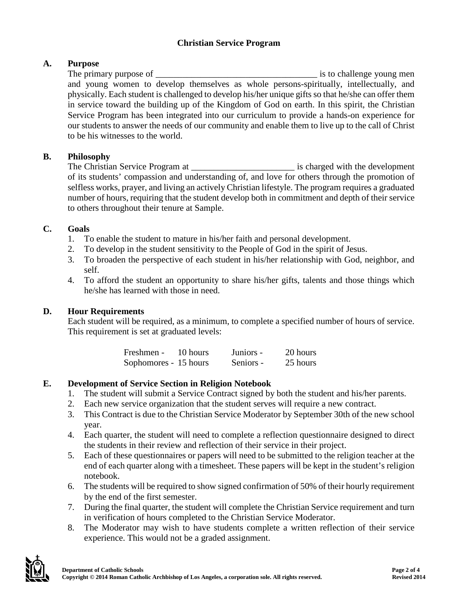## **Christian Service Program**

# **A. Purpose**

The primary purpose of  $\qquad \qquad$  is to challenge young men and young women to develop themselves as whole persons-spiritually, intellectually, and physically. Each student is challenged to develop his/her unique gifts so that he/she can offer them in service toward the building up of the Kingdom of God on earth. In this spirit, the Christian Service Program has been integrated into our curriculum to provide a hands-on experience for our students to answer the needs of our community and enable them to live up to the call of Christ to be his witnesses to the world.

## **B. Philosophy**

The Christian Service Program at \_\_\_\_\_\_\_\_\_\_\_\_\_\_\_\_\_\_\_\_\_\_\_ is charged with the development of its students' compassion and understanding of, and love for others through the promotion of selfless works, prayer, and living an actively Christian lifestyle. The program requires a graduated number of hours, requiring that the student develop both in commitment and depth of their service to others throughout their tenure at Sample.

### **C. Goals**

- 1. To enable the student to mature in his/her faith and personal development.
- 2. To develop in the student sensitivity to the People of God in the spirit of Jesus.
- 3. To broaden the perspective of each student in his/her relationship with God, neighbor, and self.
- 4. To afford the student an opportunity to share his/her gifts, talents and those things which he/she has learned with those in need.

## **D. Hour Requirements**

Each student will be required, as a minimum, to complete a specified number of hours of service. This requirement is set at graduated levels:

| Freshmen -            | 10 hours | Juniors - | 20 hours |
|-----------------------|----------|-----------|----------|
| Sophomores - 15 hours |          | Seniors - | 25 hours |

## **E. Development of Service Section in Religion Notebook**

- 1. The student will submit a Service Contract signed by both the student and his/her parents.
- 2. Each new service organization that the student serves will require a new contract.
- 3. This Contract is due to the Christian Service Moderator by September 30th of the new school year.
- 4. Each quarter, the student will need to complete a reflection questionnaire designed to direct the students in their review and reflection of their service in their project.
- 5. Each of these questionnaires or papers will need to be submitted to the religion teacher at the end of each quarter along with a timesheet. These papers will be kept in the student's religion notebook.
- 6. The students will be required to show signed confirmation of 50% of their hourly requirement by the end of the first semester.
- 7. During the final quarter, the student will complete the Christian Service requirement and turn in verification of hours completed to the Christian Service Moderator.
- 8. The Moderator may wish to have students complete a written reflection of their service experience. This would not be a graded assignment.

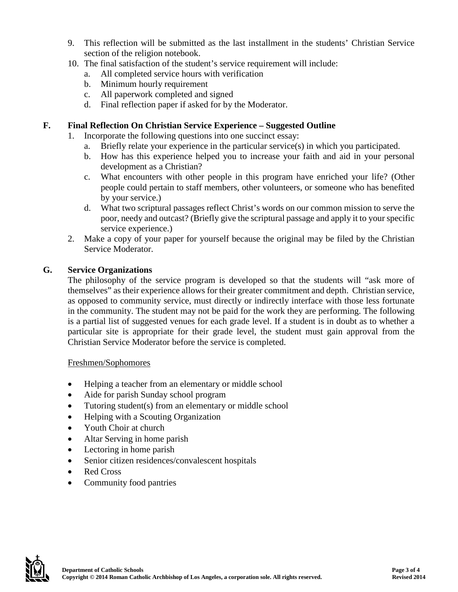- 9. This reflection will be submitted as the last installment in the students' Christian Service section of the religion notebook.
- 10. The final satisfaction of the student's service requirement will include:
	- a. All completed service hours with verification
	- b. Minimum hourly requirement
	- c. All paperwork completed and signed
	- d. Final reflection paper if asked for by the Moderator.

### **F. Final Reflection On Christian Service Experience – Suggested Outline**

- 1. Incorporate the following questions into one succinct essay:
	- a. Briefly relate your experience in the particular service(s) in which you participated.
	- b. How has this experience helped you to increase your faith and aid in your personal development as a Christian?
	- c. What encounters with other people in this program have enriched your life? (Other people could pertain to staff members, other volunteers, or someone who has benefited by your service.)
	- d. What two scriptural passages reflect Christ's words on our common mission to serve the poor, needy and outcast? (Briefly give the scriptural passage and apply it to your specific service experience.)
- 2. Make a copy of your paper for yourself because the original may be filed by the Christian Service Moderator.

### **G. Service Organizations**

The philosophy of the service program is developed so that the students will "ask more of themselves" as their experience allows for their greater commitment and depth. Christian service, as opposed to community service, must directly or indirectly interface with those less fortunate in the community. The student may not be paid for the work they are performing. The following is a partial list of suggested venues for each grade level. If a student is in doubt as to whether a particular site is appropriate for their grade level, the student must gain approval from the Christian Service Moderator before the service is completed.

#### Freshmen/Sophomores

- Helping a teacher from an elementary or middle school
- Aide for parish Sunday school program
- Tutoring student(s) from an elementary or middle school
- Helping with a Scouting Organization
- Youth Choir at church
- Altar Serving in home parish
- Lectoring in home parish
- Senior citizen residences/convalescent hospitals
- Red Cross
- Community food pantries